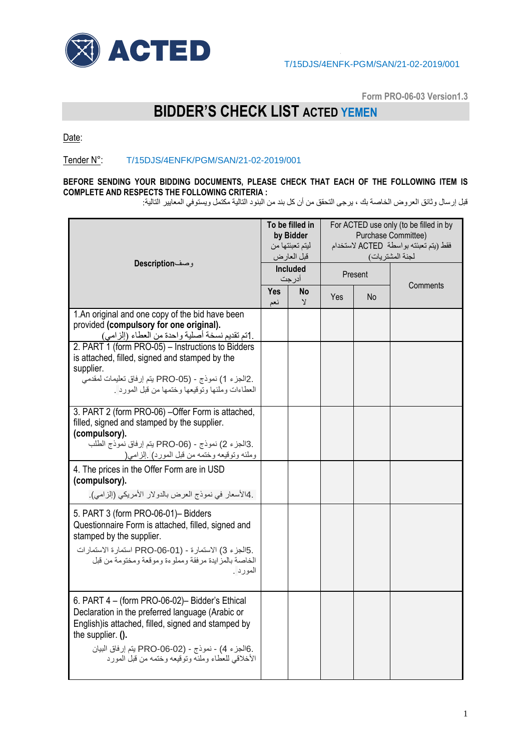

**Form PRO-06-03 Version1.3**

## **BIDDER'S CHECK LIST ACTED YEMEN**

Date:

## Tender N°: T/15DJS/4ENFK/PGM/SAN/21-02-2019/001

## **BEFORE SENDING YOUR BIDDING DOCUMENTS, PLEASE CHECK THAT EACH OF THE FOLLOWING ITEM IS COMPLETE AND RESPECTS THE FOLLOWING CRITERIA :**

قبل إرسال وثائق العروض الخاصة بك ، يرجى التحقق من أن كل بند من البنود التالية مكتمل ويستوفي المعايير التالية:

| وصفDescription                                                                                                                                                                                                                                                                          | To be filled in<br>by Bidder<br>ليتم تعبئتها من<br>قبل العارض |                    | For ACTED use only (to be filled in by<br>Purchase Committee)<br>فقط (يتم تعبئته بواسطة ACTED لاستخدام<br>لجنة المشتريات) |    |          |
|-----------------------------------------------------------------------------------------------------------------------------------------------------------------------------------------------------------------------------------------------------------------------------------------|---------------------------------------------------------------|--------------------|---------------------------------------------------------------------------------------------------------------------------|----|----------|
|                                                                                                                                                                                                                                                                                         | Included<br>أدرجت                                             |                    | Present                                                                                                                   |    | Comments |
|                                                                                                                                                                                                                                                                                         | Yes<br>نعم                                                    | No<br>$\mathbf{y}$ | <b>Yes</b>                                                                                                                | No |          |
| 1.An original and one copy of the bid have been<br>provided (compulsory for one original).<br>.1تم تقديم نسخة أصلية واحدة من العطاء (إلزامي)                                                                                                                                            |                                                               |                    |                                                                                                                           |    |          |
| 2. PART 1 (form PRO-05) - Instructions to Bidders<br>is attached, filled, signed and stamped by the<br>supplier.<br>.2الجزء 1) نموذج - (PRO-05 يتم إرفاق تعليمات لمقدمي<br>العطاءات وملئها وتوقيعها وختمها من قبل المورد .                                                              |                                                               |                    |                                                                                                                           |    |          |
| 3. PART 2 (form PRO-06) - Offer Form is attached,<br>filled, signed and stamped by the supplier.<br>(compulsory).<br>.3الجزء 2) نموذج - PRO-06) يتم إرفاق نموذج الطلب<br>وملئه وتوقيعه وختمه من قبل المورد) إلزامي(                                                                     |                                                               |                    |                                                                                                                           |    |          |
| 4. The prices in the Offer Form are in USD<br>(compulsory).<br>.4الأسعار في نموذج العرض بالدولار الأمريكي (إلزامي).                                                                                                                                                                     |                                                               |                    |                                                                                                                           |    |          |
| 5. PART 3 (form PRO-06-01)- Bidders<br>Questionnaire Form is attached, filled, signed and<br>stamped by the supplier.<br>.5الجزء 3) الاستمارة - PRO-06-01) استمارة الاستمارات<br>الخاصة بالمزايدة مرفقة ومملوءة وموقعة ومختومة من قبل<br>المورد .                                       |                                                               |                    |                                                                                                                           |    |          |
| 6. PART 4 - (form PRO-06-02)- Bidder's Ethical<br>Declaration in the preferred language (Arabic or<br>English) is attached, filled, signed and stamped by<br>the supplier. ().<br>.6الجزء 4) - نموذج - (PRO-06-02 يتم إرفاق البيان<br>الأخلاقي للعطاء وملئه وتوقيعه وختمه من قبل المورد |                                                               |                    |                                                                                                                           |    |          |